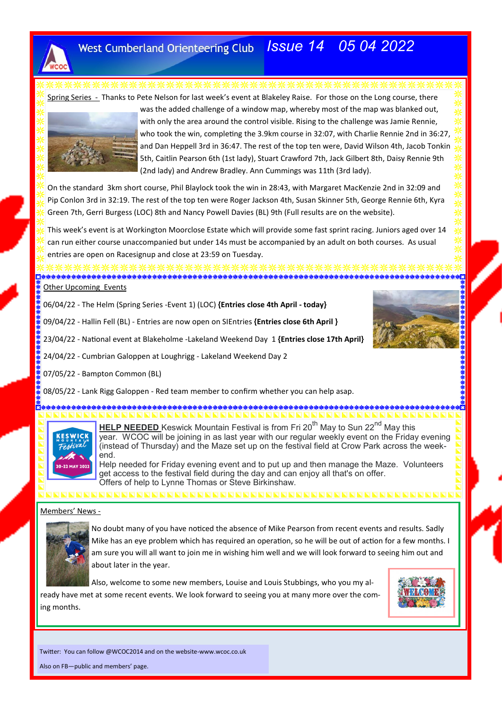

# *Issue 14 05 04 2022*

Spring Series - Thanks to Pete Nelson for last week's event at Blakeley Raise. For those on the Long course, there



was the added challenge of a window map, whereby most of the map was blanked out, with only the area around the control visible. Rising to the challenge was Jamie Rennie, who took the win, completing the 3.9km course in 32:07, with Charlie Rennie 2nd in 36:27, and Dan Heppell 3rd in 36:47. The rest of the top ten were, David Wilson 4th, Jacob Tonkin 5th, Caitlin Pearson 6th (1st lady), Stuart Crawford 7th, Jack Gilbert 8th, Daisy Rennie 9th (2nd lady) and Andrew Bradley. Ann Cummings was 11th (3rd lady).

On the standard 3km short course, Phil Blaylock took the win in 28:43, with Margaret MacKenzie 2nd in 32:09 and Pip Conlon 3rd in 32:19. The rest of the top ten were Roger Jackson 4th, Susan Skinner 5th, George Rennie 6th, Kyra Green 7th, Gerri Burgess (LOC) 8th and Nancy Powell Davies (BL) 9th (Full results are on the website).

This week's event is at Workington Moorclose Estate which will provide some fast sprint racing. Juniors aged over 14 can run either course unaccompanied but under 14s must be accompanied by an adult on both courses. As usual entries are open on Racesignup and close at 23:59 on Tuesday.

**Other Upcoming Events** 

06/04/22 - The Helm (Spring Series -Event 1) (LOC) **{Entries close 4th April - today}**

09/04/22 - Hallin Fell (BL) - Entries are now open on SIEntries **{Entries close 6th April }**

23/04/22 - National event at Blakeholme -Lakeland Weekend Day 1 **{Entries close 17th April}**

24/04/22 - Cumbrian Galoppen at Loughrigg - Lakeland Weekend Day 2

07/05/22 - Bampton Common (BL)

08/05/22 - Lank Rigg Galoppen - Red team member to confirm whether you can help asap.



**HELP NEEDED** Keswick Mountain Festival is from Fri 20<sup>th</sup> May to Sun 22<sup>nd</sup> May this year. WCOC will be joining in as last year with our regular weekly event on the Friday evening (instead of Thursday) and the Maze set up on the festival field at Crow Park across the weekend.

Help needed for Friday evening event and to put up and then manage the Maze. Volunteers get access to the festival field during the day and can enjoy all that's on offer. Offers of help to Lynne Thomas or Steve Birkinshaw.

### Members' News -



No doubt many of you have noticed the absence of Mike Pearson from recent events and results. Sadly Mike has an eye problem which has required an operation, so he will be out of action for a few months. I am sure you will all want to join me in wishing him well and we will look forward to seeing him out and about later in the year.

Also, welcome to some new members, Louise and Louis Stubbings, who you my already have met at some recent events. We look forward to seeing you at many more over the coming months.



Twitter: You can follow @WCOC2014 and on the website-www.wcoc.co.uk

Also on FB—public and members' page.